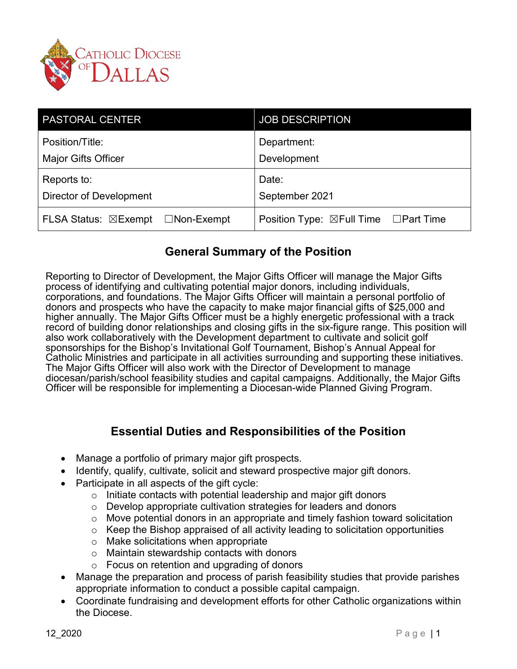

| <b>PASTORAL CENTER</b>           | <b>JOB DESCRIPTION</b>                |
|----------------------------------|---------------------------------------|
| Position/Title:                  | Department:                           |
| <b>Major Gifts Officer</b>       | Development                           |
| Reports to:                      | Date:                                 |
| Director of Development          | September 2021                        |
| FLSA Status: ⊠Exempt □Non-Exempt | Position Type: ⊠Full Time □ Part Time |

### **General Summary of the Position**

Reporting to Director of Development, the Major Gifts Officer will manage the Major Gifts process of identifying and cultivating potential major donors, including individuals, corporations, and foundations. The Major Gifts Officer will maintain a personal portfolio of donors and prospects who have the capacity to make major financial gifts of \$25,000 and higher annually. The Major Gifts Officer must be a highly energetic professional with a track record of building donor relationships and closing gifts in the six-figure range. This position will also work collaboratively with the Development department to cultivate and solicit golf sponsorships for the Bishop's Invitational Golf Tournament, Bishop's Annual Appeal for Catholic Ministries and participate in all activities surrounding and supporting these initiatives. The Major Gifts Officer will also work with the Director of Development to manage diocesan/parish/school feasibility studies and capital campaigns. Additionally, the Major Gifts Officer will be responsible for implementing a Diocesan-wide Planned Giving Program.

## **Essential Duties and Responsibilities of the Position**

- Manage a portfolio of primary major gift prospects.
- Identify, qualify, cultivate, solicit and steward prospective major gift donors.
- Participate in all aspects of the gift cycle:
	- $\circ$  Initiate contacts with potential leadership and major gift donors
	- o Develop appropriate cultivation strategies for leaders and donors
	- o Move potential donors in an appropriate and timely fashion toward solicitation
	- $\circ$  Keep the Bishop appraised of all activity leading to solicitation opportunities
	- o Make solicitations when appropriate
	- o Maintain stewardship contacts with donors
	- o Focus on retention and upgrading of donors
- Manage the preparation and process of parish feasibility studies that provide parishes appropriate information to conduct a possible capital campaign.
- Coordinate fundraising and development efforts for other Catholic organizations within the Diocese.